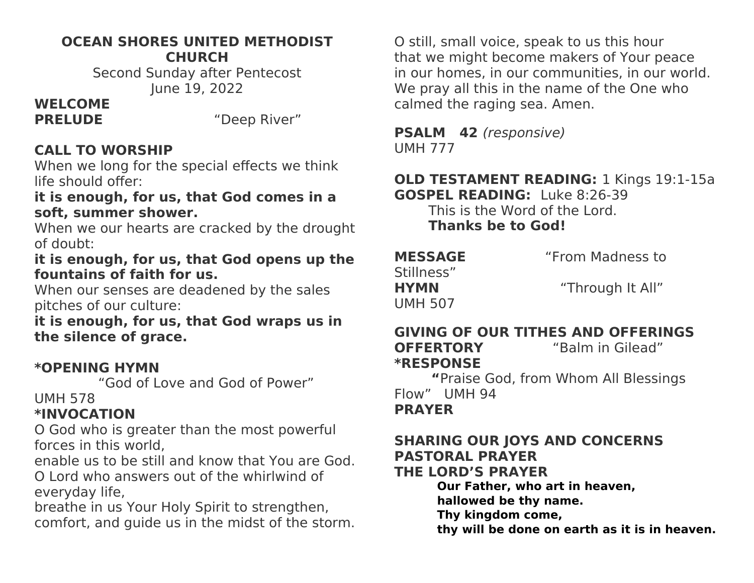#### **OCEAN SHORES UNITED METHODIST CHURCH**

Second Sunday after Pentecost June 19, 2022

# **WELCOME**

**PRELUDE** "Deep River"

## **CALL TO WORSHIP**

When we long for the special effects we think life should offer:

#### **it is enough, for us, that God comes in a soft, summer shower.**

When we our hearts are cracked by the drought of doubt:

#### **it is enough, for us, that God opens up the fountains of faith for us.**

When our senses are deadened by the sales pitches of our culture:

**it is enough, for us, that God wraps us in the silence of grace.**

#### **\*OPENING HYMN**

"God of Love and God of Power"

#### UMH 578

### **\*INVOCATION**

O God who is greater than the most powerful forces in this world,

enable us to be still and know that You are God. O Lord who answers out of the whirlwind of everyday life,

breathe in us Your Holy Spirit to strengthen, comfort, and guide us in the midst of the storm.

O still, small voice, speak to us this hour that we might become makers of Your peace in our homes, in our communities, in our world. We pray all this in the name of the One who calmed the raging sea. Amen.

**PSALM 42** (responsive) UMH 777

#### **OLD TESTAMENT READING:** 1 Kings 19:1-15a **GOSPEL READING:** Luke 8:26-39

This is the Word of the Lord. **Thanks be to God!**

| <b>MESSAGE</b> | "From Madness to |
|----------------|------------------|
| Stillness"     |                  |
| <b>HYMN</b>    | "Through It All" |
| <b>UMH 507</b> |                  |

## **GIVING OF OUR TITHES AND OFFERINGS OFFERTORY** "Balm in Gilead"

**\*RESPONSE** 

 **"**Praise God, from Whom All Blessings Flow" UMH 94

#### **PRAYER**

## **SHARING OUR JOYS AND CONCERNS PASTORAL PRAYER**

**THE LORD'S PRAYER**

**Our Father, who art in heaven,**

**hallowed be thy name.**

**Thy kingdom come,**

**thy will be done on earth as it is in heaven.**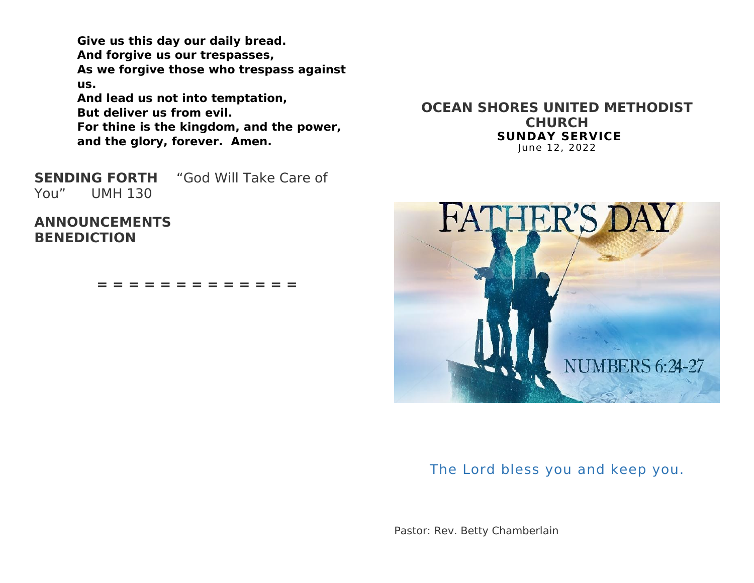**Give us this day our daily bread. And forgive us our trespasses, As we forgive those who trespass against us. And lead us not into temptation, But deliver us from evil. For thine is the kingdom, and the power, and the glory, forever. Amen.**

**SENDING FORTH** "God Will Take Care of You" UMH 130

**ANNOUNCEMENTS BENEDICTION**

**= = = = = = = = = = = = =**

**OCEAN SHORES UNITED METHODIST CHURCH SUNDAY SERVICE** June 12, 2022



The Lord bless you and keep you.

Pastor: Rev. Betty Chamberlain